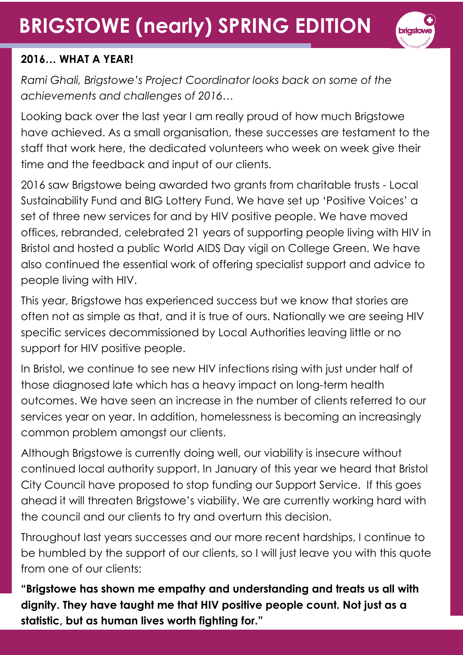## **BRIGSTOWE (nearly) SPRING EDITION**



#### **2016… WHAT A YEAR!**

*Rami Ghali, Brigstowe's Project Coordinator looks back on some of the achievements and challenges of 2016…* 

Looking back over the last year I am really proud of how much Brigstowe have achieved. As a small organisation, these successes are testament to the staff that work here, the dedicated volunteers who week on week give their time and the feedback and input of our clients.

2016 saw Brigstowe being awarded two grants from charitable trusts - Local Sustainability Fund and BIG Lottery Fund. We have set up 'Positive Voices' a set of three new services for and by HIV positive people. We have moved offices, rebranded, celebrated 21 years of supporting people living with HIV in Bristol and hosted a public World AIDS Day vigil on College Green. We have also continued the essential work of offering specialist support and advice to people living with HIV.

This year, Brigstowe has experienced success but we know that stories are often not as simple as that, and it is true of ours. Nationally we are seeing HIV specific services decommissioned by Local Authorities leaving little or no support for HIV positive people.

In Bristol, we continue to see new HIV infections rising with just under half of those diagnosed late which has a heavy impact on long-term health outcomes. We have seen an increase in the number of clients referred to our services year on year. In addition, homelessness is becoming an increasingly common problem amongst our clients.

Although Brigstowe is currently doing well, our viability is insecure without continued local authority support. In January of this year we heard that Bristol City Council have proposed to stop funding our Support Service. If this goes ahead it will threaten Brigstowe's viability. We are currently working hard with the council and our clients to try and overturn this decision.

Throughout last years successes and our more recent hardships, I continue to be humbled by the support of our clients, so I will just leave you with this quote from one of our clients:

**"Brigstowe has shown me empathy and understanding and treats us all with dignity. They have taught me that HIV positive people count. Not just as a statistic, but as human lives worth fighting for."**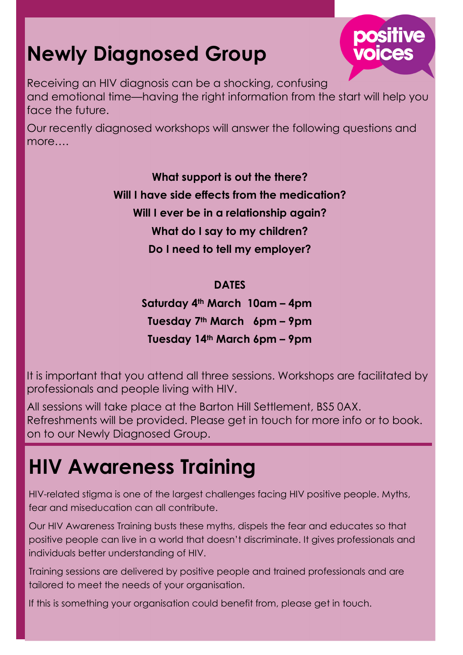## **Newly Diagnosed Group**



Our recently diagnosed workshops will answer the following questions and more….

> **What support is out the there? Will I have side effects from the medication? Will I ever be in a relationship again? What do I say to my children? Do I need to tell my employer?**

#### **DATES**

**Saturday 4th March 10am – 4pm Tuesday 7th March 6pm – 9pm Tuesday 14th March 6pm – 9pm** 

It is important that you attend all three sessions. Workshops are facilitated by professionals and people living with HIV.

All sessions will take place at the Barton Hill Settlement, BS5 0AX. Refreshments will be provided. Please get in touch for more info or to book. on to our Newly Diagnosed Group.

### **HIV Awareness Training**

HIV-related stigma is one of the largest challenges facing HIV positive people. Myths, fear and miseducation can all contribute.

Our HIV Awareness Training busts these myths, dispels the fear and educates so that positive people can live in a world that doesn't discriminate. It gives professionals and individuals better understanding of HIV.

Training sessions are delivered by positive people and trained professionals and are tailored to meet the needs of your organisation.

If this is something your organisation could benefit from, please get in touch.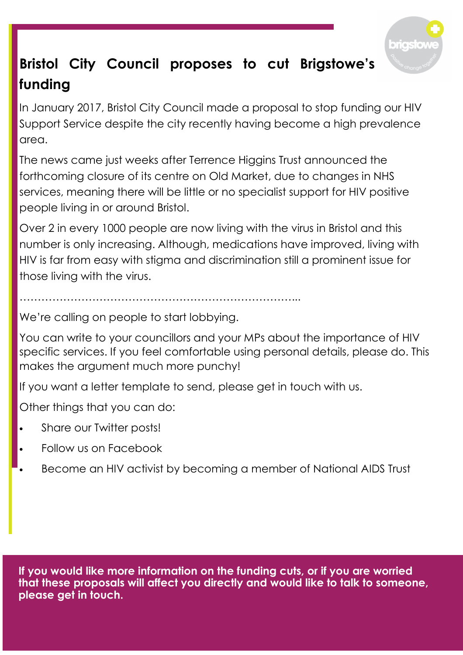

### **Bristol City Council proposes to cut Brigstowe's funding**

In January 2017, Bristol City Council made a proposal to stop funding our HIV Support Service despite the city recently having become a high prevalence area.

The news came just weeks after Terrence Higgins Trust announced the forthcoming closure of its centre on Old Market, due to changes in NHS services, meaning there will be little or no specialist support for HIV positive people living in or around Bristol.

Over 2 in every 1000 people are now living with the virus in Bristol and this number is only increasing. Although, medications have improved, living with HIV is far from easy with stigma and discrimination still a prominent issue for those living with the virus.

…………………………………………………………………...

We're calling on people to start lobbying.

You can write to your councillors and your MPs about the importance of HIV specific services. If you feel comfortable using personal details, please do. This makes the argument much more punchy!

If you want a letter template to send, please get in touch with us.

Other things that you can do:

- Share our Twitter posts!
- Follow us on Facebook
- Become an HIV activist by becoming a member of National AIDS Trust

**If you would like more information on the funding cuts, or if you are worried that these proposals will affect you directly and would like to talk to someone, please get in touch.**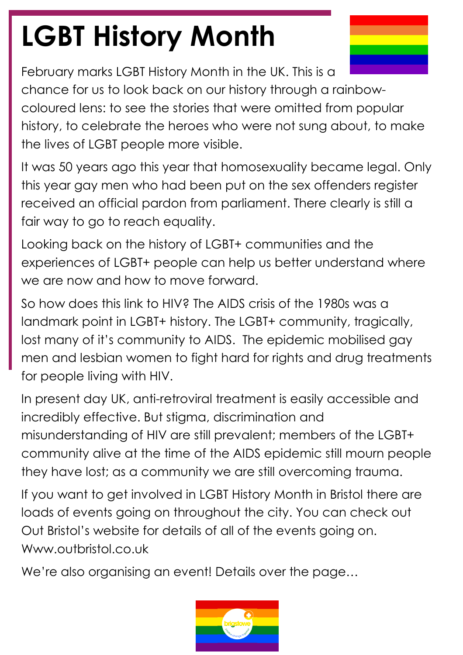# **LGBT History Month**

February marks LGBT History Month in the UK. This is a chance for us to look back on our history through a rainbowcoloured lens: to see the stories that were omitted from popular history, to celebrate the heroes who were not sung about, to make the lives of LGBT people more visible.

It was 50 years ago this year that homosexuality became legal. Only this year gay men who had been put on the sex offenders register received an official pardon from parliament. There clearly is still a fair way to go to reach equality.

Looking back on the history of LGBT+ communities and the experiences of LGBT+ people can help us better understand where we are now and how to move forward.

So how does this link to HIV? The AIDS crisis of the 1980s was a landmark point in LGBT+ history. The LGBT+ community, tragically, lost many of it's community to AIDS. The epidemic mobilised gay men and lesbian women to fight hard for rights and drug treatments for people living with HIV.

In present day UK, anti-retroviral treatment is easily accessible and incredibly effective. But stigma, discrimination and misunderstanding of HIV are still prevalent; members of the LGBT+ community alive at the time of the AIDS epidemic still mourn people they have lost; as a community we are still overcoming trauma.

If you want to get involved in LGBT History Month in Bristol there are loads of events going on throughout the city. You can check out Out Bristol's website for details of all of the events going on. Www.outbristol.co.uk

We're also organising an event! Details over the page…

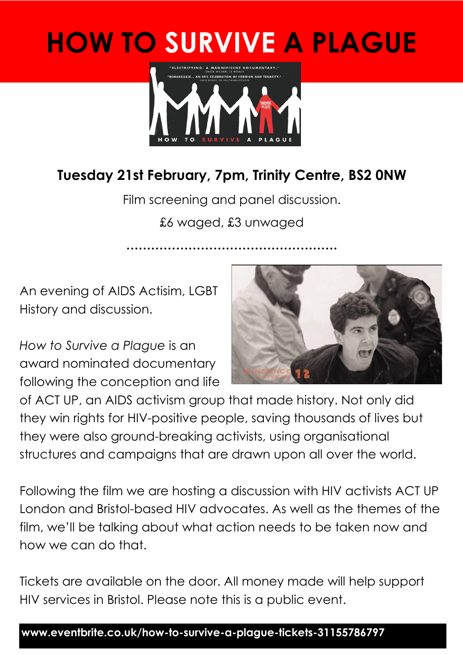## **HOW TO SURVIVE A PLAGUE**



#### **Tuesday 21st February, 7pm, Trinity Centre, BS2 0NW**

Film screening and panel discussion. £6 waged, £3 unwaged

**……………………………………………** 

An evening of AIDS Actisim, LGBT History and discussion.

*How to Survive a Plague* is an award nominated documentary following the conception and life



of ACT UP, an AIDS activism group that made history. Not only did they win rights for HIV-positive people, saving thousands of lives but they were also ground-breaking activists, using organisational structures and campaigns that are drawn upon all over the world.

Following the film we are hosting a discussion with HIV activists ACT UP London and Bristol-based HIV advocates. As well as the themes of the film, we'll be talking about what action needs to be taken now and how we can do that.

Tickets are available on the door. All money made will help support HIV services in Bristol. Please note this is a public event.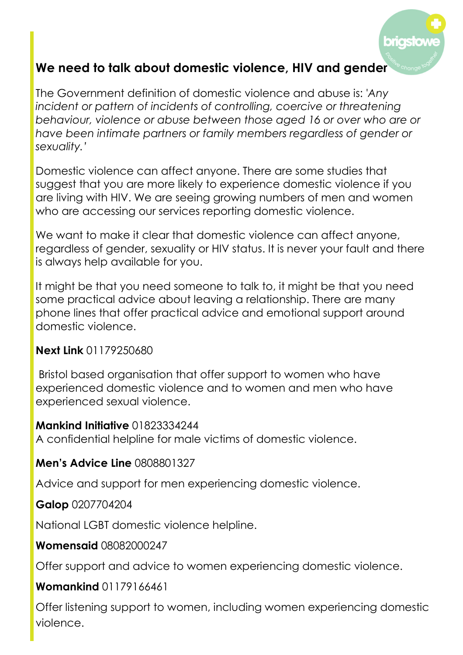

#### **We need to talk about domestic violence, HIV and gender**

The Government definition of domestic violence and abuse is: *'Any incident or pattern of incidents of controlling, coercive or threatening behaviour, violence or abuse between those aged 16 or over who are or have been intimate partners or family members regardless of gender or sexuality.'* 

Domestic violence can affect anyone. There are some studies that suggest that you are more likely to experience domestic violence if you are living with HIV. We are seeing growing numbers of men and women who are accessing our services reporting domestic violence.

We want to make it clear that domestic violence can affect anyone, regardless of gender, sexuality or HIV status. It is never your fault and there is always help available for you.

It might be that you need someone to talk to, it might be that you need some practical advice about leaving a relationship. There are many phone lines that offer practical advice and emotional support around domestic violence.

#### **Next Link** 01179250680

 Bristol based organisation that offer support to women who have experienced domestic violence and to women and men who have experienced sexual violence.

#### **Mankind Initiative** 01823334244

A confidential helpline for male victims of domestic violence.

#### **Men's Advice Line** 0808801327

Advice and support for men experiencing domestic violence.

#### **Galop** 0207704204

National LGBT domestic violence helpline.

#### **Womensaid** 08082000247

Offer support and advice to women experiencing domestic violence.

#### **Womankind** 01179166461

Offer listening support to women, including women experiencing domestic violence.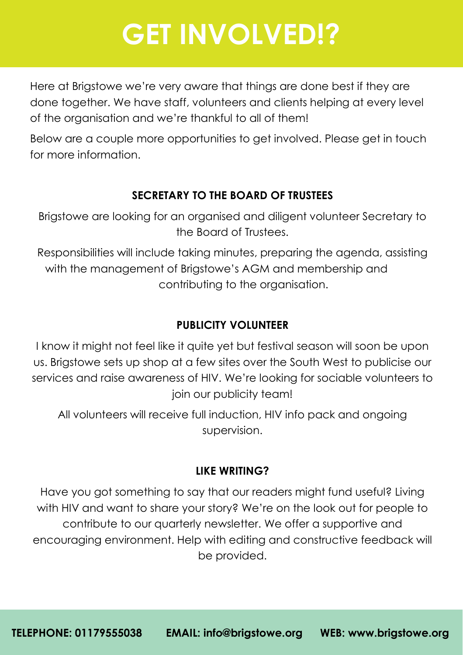## **GET INVOLVED!?**

Here at Brigstowe we're very aware that things are done best if they are done together. We have staff, volunteers and clients helping at every level of the organisation and we're thankful to all of them!

Below are a couple more opportunities to get involved. Please get in touch for more information.

#### **SECRETARY TO THE BOARD OF TRUSTEES**

Brigstowe are looking for an organised and diligent volunteer Secretary to the Board of Trustees.

Responsibilities will include taking minutes, preparing the agenda, assisting with the management of Brigstowe's AGM and membership and contributing to the organisation.

#### **PUBLICITY VOLUNTEER**

I know it might not feel like it quite yet but festival season will soon be upon us. Brigstowe sets up shop at a few sites over the South West to publicise our services and raise awareness of HIV. We're looking for sociable volunteers to join our publicity team!

All volunteers will receive full induction, HIV info pack and ongoing supervision.

#### **LIKE WRITING?**

Have you got something to say that our readers might fund useful? Living with HIV and want to share your story? We're on the look out for people to contribute to our quarterly newsletter. We offer a supportive and encouraging environment. Help with editing and constructive feedback will be provided.